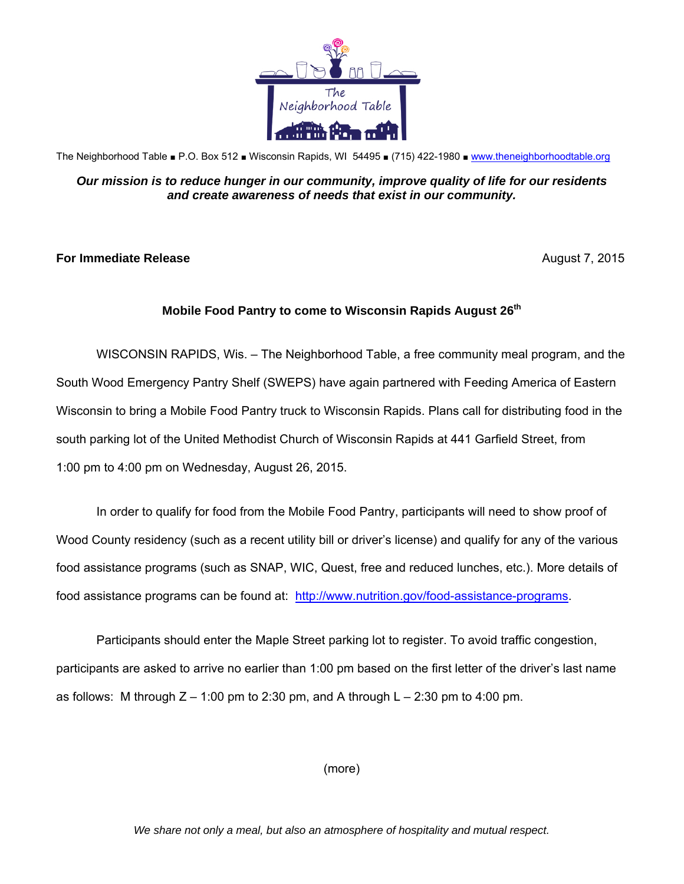

The Neighborhood Table ■ P.O. Box 512 ■ Wisconsin Rapids, WI 54495 ■ (715) 422-1980 ■ www.theneighborhoodtable.org

## *Our mission is to reduce hunger in our community, improve quality of life for our residents and create awareness of needs that exist in our community.*

## **For Immediate Release August 7, 2015**

## **Mobile Food Pantry to come to Wisconsin Rapids August 26th**

WISCONSIN RAPIDS, Wis. – The Neighborhood Table, a free community meal program, and the South Wood Emergency Pantry Shelf (SWEPS) have again partnered with Feeding America of Eastern Wisconsin to bring a Mobile Food Pantry truck to Wisconsin Rapids. Plans call for distributing food in the south parking lot of the United Methodist Church of Wisconsin Rapids at 441 Garfield Street, from 1:00 pm to 4:00 pm on Wednesday, August 26, 2015.

In order to qualify for food from the Mobile Food Pantry, participants will need to show proof of Wood County residency (such as a recent utility bill or driver's license) and qualify for any of the various food assistance programs (such as SNAP, WIC, Quest, free and reduced lunches, etc.). More details of food assistance programs can be found at: http://www.nutrition.gov/food-assistance-programs.

Participants should enter the Maple Street parking lot to register. To avoid traffic congestion, participants are asked to arrive no earlier than 1:00 pm based on the first letter of the driver's last name as follows: M through  $Z - 1:00$  pm to 2:30 pm, and A through  $L - 2:30$  pm to 4:00 pm.

(more)